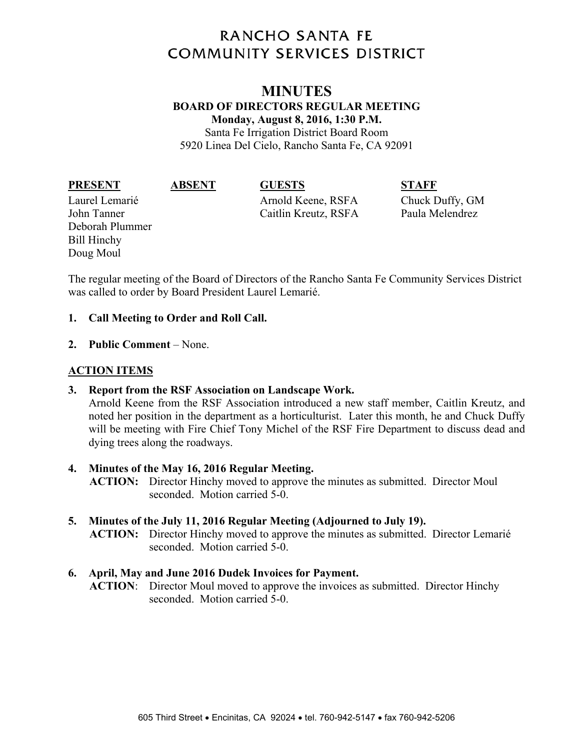# **RANCHO SANTA FE COMMUNITY SERVICES DISTRICT**

# **MINUTES BOARD OF DIRECTORS REGULAR MEETING Monday, August 8, 2016, 1:30 P.M.**

Santa Fe Irrigation District Board Room 5920 Linea Del Cielo, Rancho Santa Fe, CA 92091

#### **PRESENT ABSENT GUESTS STAFF**

Deborah Plummer Bill Hinchy Doug Moul

Laurel Lemarié Arnold Keene, RSFA Chuck Duffy, GM John Tanner Caitlin Kreutz, RSFA Paula Melendrez

The regular meeting of the Board of Directors of the Rancho Santa Fe Community Services District was called to order by Board President Laurel Lemarié.

### **1. Call Meeting to Order and Roll Call.**

**2. Public Comment** – None.

# **ACTION ITEMS**

**3. Report from the RSF Association on Landscape Work.** 

Arnold Keene from the RSF Association introduced a new staff member, Caitlin Kreutz, and noted her position in the department as a horticulturist. Later this month, he and Chuck Duffy will be meeting with Fire Chief Tony Michel of the RSF Fire Department to discuss dead and dying trees along the roadways.

### **4. Minutes of the May 16, 2016 Regular Meeting.**

**ACTION:** Director Hinchy moved to approve the minutes as submitted. Director Moul seconded. Motion carried 5-0.

**5. Minutes of the July 11, 2016 Regular Meeting (Adjourned to July 19). ACTION:** Director Hinchy moved to approve the minutes as submitted. Director Lemarié seconded. Motion carried 5-0.

# **6. April, May and June 2016 Dudek Invoices for Payment.**

**ACTION**: Director Moul moved to approve the invoices as submitted. Director Hinchy seconded. Motion carried 5-0.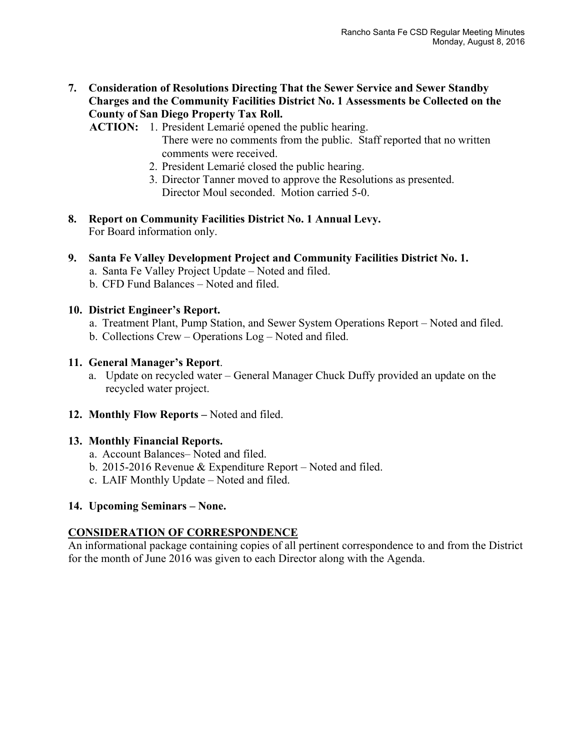**7. Consideration of Resolutions Directing That the Sewer Service and Sewer Standby Charges and the Community Facilities District No. 1 Assessments be Collected on the County of San Diego Property Tax Roll.** 

**ACTION:** 1. President Lemarié opened the public hearing. There were no comments from the public. Staff reported that no written comments were received.

- 2. President Lemarié closed the public hearing.
- 3. Director Tanner moved to approve the Resolutions as presented. Director Moul seconded. Motion carried 5-0.
- **8. Report on Community Facilities District No. 1 Annual Levy.**  For Board information only.
- **9. Santa Fe Valley Development Project and Community Facilities District No. 1.**  a. Santa Fe Valley Project Update – Noted and filed. b. CFD Fund Balances – Noted and filed.
- **10. District Engineer's Report.** 
	- a. Treatment Plant, Pump Station, and Sewer System Operations Report Noted and filed.
	- b. Collections Crew Operations Log Noted and filed.
- **11. General Manager's Report**.
	- a. Update on recycled water General Manager Chuck Duffy provided an update on the recycled water project.
- **12. Monthly Flow Reports –** Noted and filed.

### **13. Monthly Financial Reports.**

- a. Account Balances– Noted and filed.
- b. 2015-2016 Revenue & Expenditure Report Noted and filed.
- c. LAIF Monthly Update Noted and filed.

### **14. Upcoming Seminars – None.**

# **CONSIDERATION OF CORRESPONDENCE**

An informational package containing copies of all pertinent correspondence to and from the District for the month of June 2016 was given to each Director along with the Agenda.